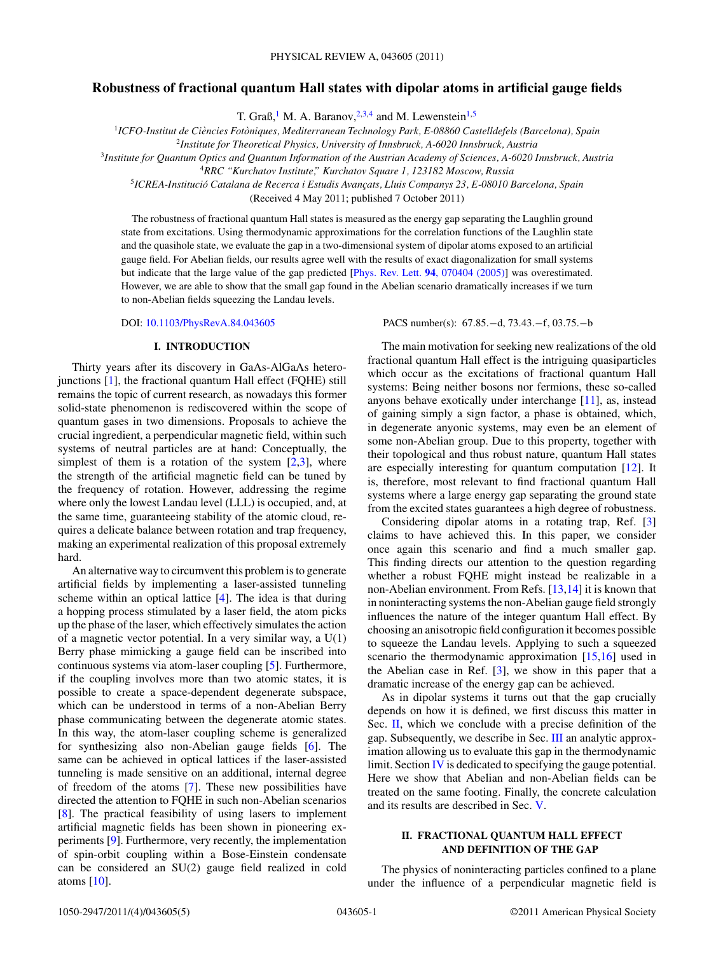# <span id="page-0-0"></span>**Robustness of fractional quantum Hall states with dipolar atoms in artificial gauge fields**

T. Graß,<sup>1</sup> M. A. Baranov,<sup>2,3,4</sup> and M. Lewenstein<sup>1,5</sup>

<sup>1</sup>*ICFO-Institut de Ciencies Fot ` oniques, Mediterranean Technology Park, E-08860 Castelldefels (Barcelona), Spain `*

<sup>2</sup>*Institute for Theoretical Physics, University of Innsbruck, A-6020 Innsbruck, Austria*

<sup>3</sup>*Institute for Quantum Optics and Quantum Information of the Austrian Academy of Sciences, A-6020 Innsbruck, Austria*

<sup>4</sup>*RRC "Kurchatov Institute," Kurchatov Square 1, 123182 Moscow, Russia*

<sup>5</sup>*ICREA-Institucio Catalana de Recerca i Estudis Avanc ´ ¸ats, Lluis Companys 23, E-08010 Barcelona, Spain*

(Received 4 May 2011; published 7 October 2011)

The robustness of fractional quantum Hall states is measured as the energy gap separating the Laughlin ground state from excitations. Using thermodynamic approximations for the correlation functions of the Laughlin state and the quasihole state, we evaluate the gap in a two-dimensional system of dipolar atoms exposed to an artificial gauge field. For Abelian fields, our results agree well with the results of exact diagonalization for small systems but indicate that the large value of the gap predicted [Phys. Rev. Lett. **94**[, 070404 \(2005\)\]](http://dx.doi.org/10.1103/PhysRevLett.94.070404) was overestimated. However, we are able to show that the small gap found in the Abelian scenario dramatically increases if we turn to non-Abelian fields squeezing the Landau levels.

## **I. INTRODUCTION**

Thirty years after its discovery in GaAs-AlGaAs heterojunctions [\[1\]](#page-4-0), the fractional quantum Hall effect (FQHE) still remains the topic of current research, as nowadays this former solid-state phenomenon is rediscovered within the scope of quantum gases in two dimensions. Proposals to achieve the crucial ingredient, a perpendicular magnetic field, within such systems of neutral particles are at hand: Conceptually, the simplest of them is a rotation of the system  $[2,3]$ , where the strength of the artificial magnetic field can be tuned by the frequency of rotation. However, addressing the regime where only the lowest Landau level (LLL) is occupied, and, at the same time, guaranteeing stability of the atomic cloud, requires a delicate balance between rotation and trap frequency, making an experimental realization of this proposal extremely hard.

An alternative way to circumvent this problem is to generate artificial fields by implementing a laser-assisted tunneling scheme within an optical lattice [\[4\]](#page-4-0). The idea is that during a hopping process stimulated by a laser field, the atom picks up the phase of the laser, which effectively simulates the action of a magnetic vector potential. In a very similar way, a U(1) Berry phase mimicking a gauge field can be inscribed into continuous systems via atom-laser coupling [\[5\]](#page-4-0). Furthermore, if the coupling involves more than two atomic states, it is possible to create a space-dependent degenerate subspace, which can be understood in terms of a non-Abelian Berry phase communicating between the degenerate atomic states. In this way, the atom-laser coupling scheme is generalized for synthesizing also non-Abelian gauge fields [\[6\]](#page-4-0). The same can be achieved in optical lattices if the laser-assisted tunneling is made sensitive on an additional, internal degree of freedom of the atoms [\[7\]](#page-4-0). These new possibilities have directed the attention to FQHE in such non-Abelian scenarios [\[8\]](#page-4-0). The practical feasibility of using lasers to implement artificial magnetic fields has been shown in pioneering experiments [\[9\]](#page-4-0). Furthermore, very recently, the implementation of spin-orbit coupling within a Bose-Einstein condensate can be considered an SU(2) gauge field realized in cold atoms [\[10\]](#page-4-0).

DOI: [10.1103/PhysRevA.84.043605](http://dx.doi.org/10.1103/PhysRevA.84.043605) PACS number(s): 67*.*85*.*−d, 73*.*43*.*−f, 03*.*75*.*−b

The main motivation for seeking new realizations of the old fractional quantum Hall effect is the intriguing quasiparticles which occur as the excitations of fractional quantum Hall systems: Being neither bosons nor fermions, these so-called anyons behave exotically under interchange [\[11\]](#page-4-0), as, instead of gaining simply a sign factor, a phase is obtained, which, in degenerate anyonic systems, may even be an element of some non-Abelian group. Due to this property, together with their topological and thus robust nature, quantum Hall states are especially interesting for quantum computation [\[12\]](#page-4-0). It is, therefore, most relevant to find fractional quantum Hall systems where a large energy gap separating the ground state from the excited states guarantees a high degree of robustness.

Considering dipolar atoms in a rotating trap, Ref. [\[3\]](#page-4-0) claims to have achieved this. In this paper, we consider once again this scenario and find a much smaller gap. This finding directs our attention to the question regarding whether a robust FQHE might instead be realizable in a non-Abelian environment. From Refs. [\[13,14\]](#page-4-0) it is known that in noninteracting systems the non-Abelian gauge field strongly influences the nature of the integer quantum Hall effect. By choosing an anisotropic field configuration it becomes possible to squeeze the Landau levels. Applying to such a squeezed scenario the thermodynamic approximation [\[15,16\]](#page-4-0) used in the Abelian case in Ref.  $[3]$ , we show in this paper that a dramatic increase of the energy gap can be achieved.

As in dipolar systems it turns out that the gap crucially depends on how it is defined, we first discuss this matter in Sec. II, which we conclude with a precise definition of the gap. Subsequently, we describe in Sec. [III](#page-1-0) an analytic approximation allowing us to evaluate this gap in the thermodynamic limit. Section [IV](#page-2-0) is dedicated to specifying the gauge potential. Here we show that Abelian and non-Abelian fields can be treated on the same footing. Finally, the concrete calculation and its results are described in Sec. [V.](#page-3-0)

# **II. FRACTIONAL QUANTUM HALL EFFECT AND DEFINITION OF THE GAP**

The physics of noninteracting particles confined to a plane under the influence of a perpendicular magnetic field is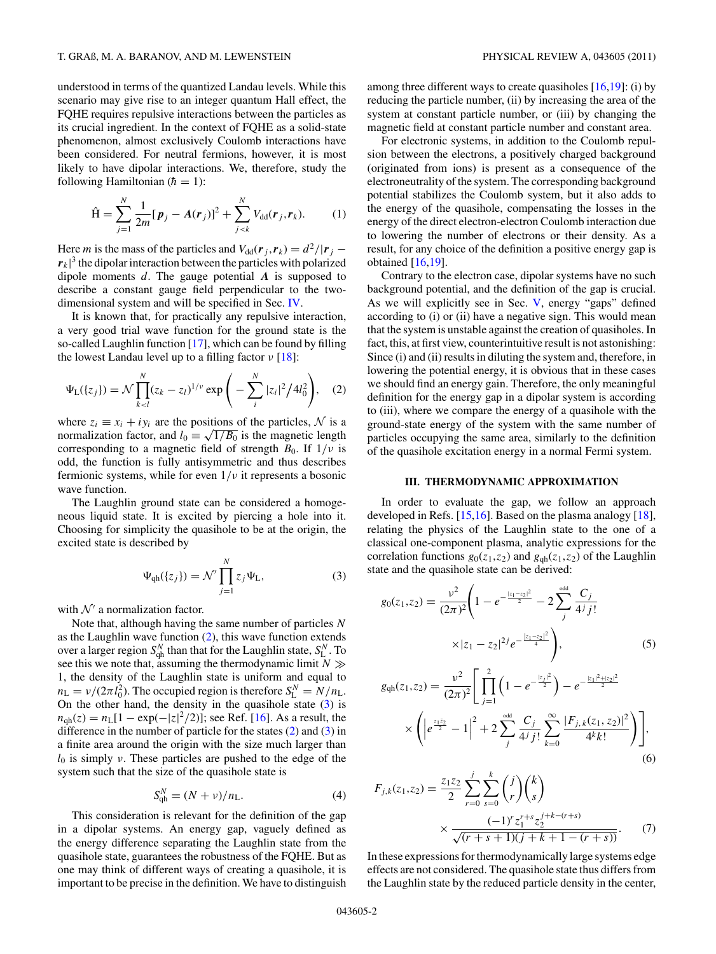<span id="page-1-0"></span>understood in terms of the quantized Landau levels. While this scenario may give rise to an integer quantum Hall effect, the FQHE requires repulsive interactions between the particles as its crucial ingredient. In the context of FQHE as a solid-state phenomenon, almost exclusively Coulomb interactions have been considered. For neutral fermions, however, it is most likely to have dipolar interactions. We, therefore, study the following Hamiltonian  $(h = 1)$ :

$$
\hat{H} = \sum_{j=1}^{N} \frac{1}{2m} [\boldsymbol{p}_j - A(\boldsymbol{r}_j)]^2 + \sum_{j < k}^{N} V_{dd}(\boldsymbol{r}_j, \boldsymbol{r}_k). \tag{1}
$$

Here *m* is the mass of the particles and  $V_{dd}(\mathbf{r}_i, \mathbf{r}_k) = d^2/|\mathbf{r}_i - \mathbf{r}_k|$  $r_k$ <sup>3</sup> the dipolar interaction between the particles with polarized dipole moments *d*. The gauge potential *A* is supposed to describe a constant gauge field perpendicular to the twodimensional system and will be specified in Sec. [IV.](#page-2-0)

It is known that, for practically any repulsive interaction, a very good trial wave function for the ground state is the so-called Laughlin function [\[17\]](#page-4-0), which can be found by filling the lowest Landau level up to a filling factor *ν* [\[18\]](#page-4-0):

$$
\Psi_{\mathcal{L}}(\{z_j\}) = \mathcal{N} \prod_{k < l}^{N} (z_k - z_l)^{1/\nu} \exp\bigg(-\sum_{i}^{N} |z_i|^2 / 4l_0^2\bigg), \quad (2)
$$

where  $z_i \equiv x_i + iy_i$  are the positions of the particles, N is a normalization factor, and  $l_0 \equiv \sqrt{1/B_0}$  is the magnetic length corresponding to a magnetic field of strength  $B_0$ . If  $1/\nu$  is odd, the function is fully antisymmetric and thus describes fermionic systems, while for even 1*/ν* it represents a bosonic wave function.

The Laughlin ground state can be considered a homogeneous liquid state. It is excited by piercing a hole into it. Choosing for simplicity the quasihole to be at the origin, the excited state is described by

$$
\Psi_{\rm qh}(\{z_j\}) = \mathcal{N}' \prod_{j=1}^{N} z_j \Psi_{\rm L},\tag{3}
$$

with  $\mathcal{N}'$  a normalization factor.

Note that, although having the same number of particles *N* as the Laughlin wave function (2), this wave function extends over a larger region  $S_{\text{qh}}^N$  than that for the Laughlin state,  $S_L^N$ . To see this we note that, assuming the thermodynamic limit  $N \gg$ 1, the density of the Laughlin state is uniform and equal to  $n_L = v/(2\pi l_0^2)$ . The occupied region is therefore  $S_L^N = N/n_L$ . On the other hand, the density in the quasihole state  $(3)$  is  $n_{\text{qh}}(z) = n_L[1 - \exp(-|z|^2/2)]$ ; see Ref. [\[16\]](#page-4-0). As a result, the difference in the number of particle for the states (2) and (3) in a finite area around the origin with the size much larger than *l*<sup>0</sup> is simply *ν*. These particles are pushed to the edge of the system such that the size of the quasihole state is

$$
S_{\rm qh}^N = (N + \nu)/n_{\rm L}.\tag{4}
$$

This consideration is relevant for the definition of the gap in a dipolar systems. An energy gap, vaguely defined as the energy difference separating the Laughlin state from the quasihole state, guarantees the robustness of the FQHE. But as one may think of different ways of creating a quasihole, it is important to be precise in the definition. We have to distinguish among three different ways to create quasiholes [\[16,19\]](#page-4-0): (i) by reducing the particle number, (ii) by increasing the area of the system at constant particle number, or (iii) by changing the magnetic field at constant particle number and constant area.

For electronic systems, in addition to the Coulomb repulsion between the electrons, a positively charged background (originated from ions) is present as a consequence of the electroneutrality of the system. The corresponding background potential stabilizes the Coulomb system, but it also adds to the energy of the quasihole, compensating the losses in the energy of the direct electron-electron Coulomb interaction due to lowering the number of electrons or their density. As a result, for any choice of the definition a positive energy gap is obtained [\[16,19\]](#page-4-0).

Contrary to the electron case, dipolar systems have no such background potential, and the definition of the gap is crucial. As we will explicitly see in Sec. [V,](#page-3-0) energy "gaps" defined according to (i) or (ii) have a negative sign. This would mean that the system is unstable against the creation of quasiholes. In fact, this, at first view, counterintuitive result is not astonishing: Since (i) and (ii) results in diluting the system and, therefore, in lowering the potential energy, it is obvious that in these cases we should find an energy gain. Therefore, the only meaningful definition for the energy gap in a dipolar system is according to (iii), where we compare the energy of a quasihole with the ground-state energy of the system with the same number of particles occupying the same area, similarly to the definition of the quasihole excitation energy in a normal Fermi system.

### **III. THERMODYNAMIC APPROXIMATION**

In order to evaluate the gap, we follow an approach developed in Refs. [\[15,16\]](#page-4-0). Based on the plasma analogy [\[18\]](#page-4-0), relating the physics of the Laughlin state to the one of a classical one-component plasma, analytic expressions for the correlation functions  $g_0(z_1, z_2)$  and  $g_{gh}(z_1, z_2)$  of the Laughlin state and the quasihole state can be derived:

$$
g_0(z_1, z_2) = \frac{\nu^2}{(2\pi)^2} \left( 1 - e^{-\frac{|z_1 - z_2|^2}{2}} - 2 \sum_j^{\text{odd}} \frac{C_j}{4^j j!} \times |z_1 - z_2|^{2j} e^{-\frac{|z_1 - z_2|^2}{4}} \right),
$$
(5)

$$
g_{\text{qh}}(z_1, z_2) = \frac{\nu^2}{(2\pi)^2} \left[ \prod_{j=1}^2 \left( 1 - e^{-\frac{|z_j|^2}{2}} \right) - e^{-\frac{|z_1|^2 + |z_2|^2}{2}} \times \left( \left| e^{\frac{z_1 \bar{z}_2}{2}} - 1 \right|^2 + 2 \sum_j^{\text{odd}} \frac{C_j}{4^j j!} \sum_{k=0}^\infty \frac{|F_{j,k}(z_1, z_2)|^2}{4^k k!} \right) \right], \tag{6}
$$

$$
F_{j,k}(z_1, z_2) = \frac{z_1 z_2}{2} \sum_{r=0}^{j} \sum_{s=0}^{k} {j \choose r} {k \choose s}
$$

$$
\times \frac{(-1)^r z_1^{r+s} z_2^{j+k-(r+s)}}{\sqrt{(r+s+1)(j+k+1-(r+s))}}.
$$
(7)

In these expressions for thermodynamically large systems edge effects are not considered. The quasihole state thus differs from the Laughlin state by the reduced particle density in the center,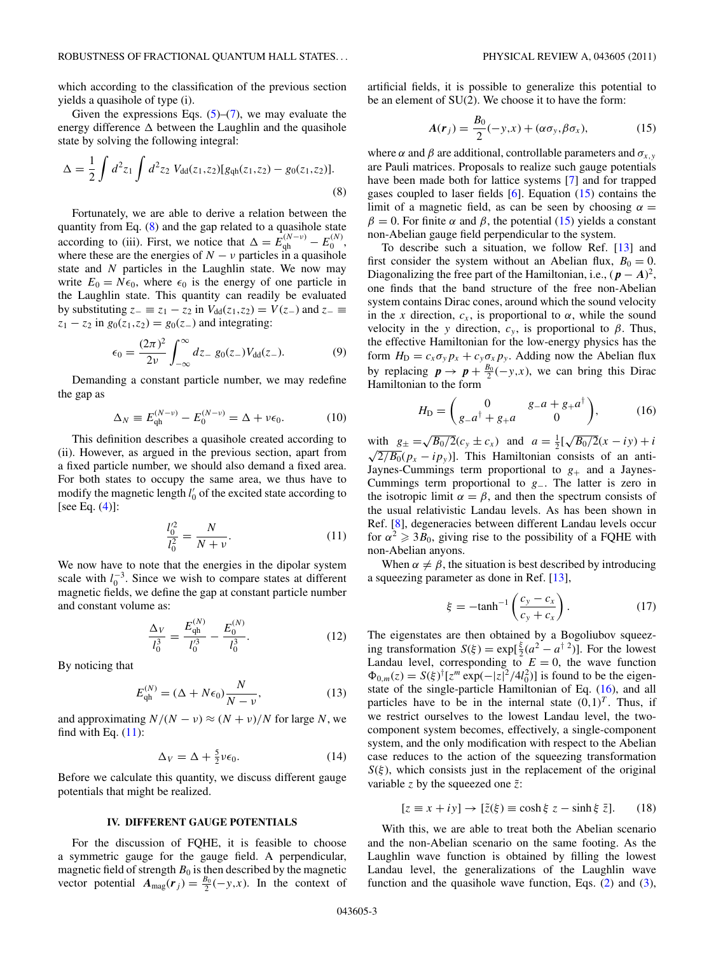<span id="page-2-0"></span>which according to the classification of the previous section yields a quasihole of type (i).

Given the expressions Eqs.  $(5)-(7)$  $(5)-(7)$  $(5)-(7)$ , we may evaluate the energy difference  $\Delta$  between the Laughlin and the quasihole state by solving the following integral:

$$
\Delta = \frac{1}{2} \int d^2 z_1 \int d^2 z_2 \ V_{dd}(z_1, z_2) [g_{qh}(z_1, z_2) - g_0(z_1, z_2)]. \tag{8}
$$

Fortunately, we are able to derive a relation between the quantity from Eq. (8) and the gap related to a quasihole state according to (iii). First, we notice that  $\Delta = E_{\text{qh}}^{(N-\nu)} - E_0^{(N)}$ , where these are the energies of  $N - v$  particles in a quasihole state and *N* particles in the Laughlin state. We now may write  $E_0 = N\epsilon_0$ , where  $\epsilon_0$  is the energy of one particle in the Laughlin state. This quantity can readily be evaluated by substituting  $z_-\equiv z_1 - z_2$  in  $V_{dd}(z_1, z_2) = V(z_-)$  and  $z_-\equiv z_1 - z_2$  $z_1 - z_2$  in  $g_0(z_1, z_2) = g_0(z_1)$  and integrating:

$$
\epsilon_0 = \frac{(2\pi)^2}{2\nu} \int_{-\infty}^{\infty} dz_{-} g_0(z_{-}) V_{dd}(z_{-}).
$$
 (9)

Demanding a constant particle number, we may redefine the gap as

$$
\Delta_N \equiv E_{\rm qh}^{(N-\nu)} - E_0^{(N-\nu)} = \Delta + \nu \epsilon_0.
$$
 (10)

This definition describes a quasihole created according to (ii). However, as argued in the previous section, apart from a fixed particle number, we should also demand a fixed area. For both states to occupy the same area, we thus have to modify the magnetic length  $l'_0$  of the excited state according to [see Eq.  $(4)$ ]:

$$
\frac{l_0'^2}{l_0^2} = \frac{N}{N + \nu}.\tag{11}
$$

We now have to note that the energies in the dipolar system scale with  $l_0^{-3}$ . Since we wish to compare states at different magnetic fields, we define the gap at constant particle number and constant volume as:

$$
\frac{\Delta_V}{l_0^3} = \frac{E_{\text{qh}}^{(N)}}{l_0'^3} - \frac{E_0^{(N)}}{l_0^3}.\tag{12}
$$

By noticing that

$$
E_{\mathbf{qh}}^{(N)} = (\Delta + N\epsilon_0) \frac{N}{N - \nu},\tag{13}
$$

and approximating  $N/(N - \nu) \approx (N + \nu)/N$  for large N, we find with Eq.  $(11)$ :

$$
\Delta_V = \Delta + \frac{5}{2} \nu \epsilon_0. \tag{14}
$$

Before we calculate this quantity, we discuss different gauge potentials that might be realized.

#### **IV. DIFFERENT GAUGE POTENTIALS**

For the discussion of FQHE, it is feasible to choose a symmetric gauge for the gauge field. A perpendicular, magnetic field of strength  $B_0$  is then described by the magnetic vector potential  $A_{\text{mag}}(r_j) = \frac{B_0}{2}(-y, x)$ . In the context of

artificial fields, it is possible to generalize this potential to be an element of SU(2). We choose it to have the form:

$$
A(r_j) = \frac{B_0}{2}(-y,x) + (\alpha \sigma_y, \beta \sigma_x), \qquad (15)
$$

where  $\alpha$  and  $\beta$  are additional, controllable parameters and  $\sigma_{x,y}$ are Pauli matrices. Proposals to realize such gauge potentials have been made both for lattice systems [\[7\]](#page-4-0) and for trapped gases coupled to laser fields  $[6]$ . Equation  $(15)$  contains the limit of a magnetic field, as can be seen by choosing  $\alpha =$  $β = 0$ . For finite *α* and *β*, the potential (15) yields a constant non-Abelian gauge field perpendicular to the system.

To describe such a situation, we follow Ref. [\[13\]](#page-4-0) and first consider the system without an Abelian flux,  $B_0 = 0$ . Diagonalizing the free part of the Hamiltonian, i.e.,  $(p - A)^2$ , one finds that the band structure of the free non-Abelian system contains Dirac cones, around which the sound velocity in the *x* direction,  $c_x$ , is proportional to  $\alpha$ , while the sound velocity in the *y* direction,  $c_y$ , is proportional to  $\beta$ . Thus, the effective Hamiltonian for the low-energy physics has the form  $H_D = c_x \sigma_y p_x + c_y \sigma_x p_y$ . Adding now the Abelian flux by replacing  $p \to p + \frac{B_0}{2}(-y, x)$ , we can bring this Dirac Hamiltonian to the form

$$
H_{\rm D} = \begin{pmatrix} 0 & g_{-}a + g_{+}a^{\dagger} \\ g_{-}a^{\dagger} + g_{+}a & 0 \end{pmatrix}, \tag{16}
$$

with  $g_{\pm} = \sqrt{B_0/2} (c_y \pm c_x)$  and  $a = \frac{1}{2} [\sqrt{B_0/2} (x - iy) + i$  $\sqrt{2/B_0}(p_x - ip_y)$ . This Hamiltonian consists of an anti-Jaynes-Cummings term proportional to  $g_{+}$  and a Jaynes-Cummings term proportional to *g*−. The latter is zero in the isotropic limit  $\alpha = \beta$ , and then the spectrum consists of the usual relativistic Landau levels. As has been shown in Ref. [\[8\]](#page-4-0), degeneracies between different Landau levels occur for  $\alpha^2 \geq 3B_0$ , giving rise to the possibility of a FQHE with non-Abelian anyons.

When  $\alpha \neq \beta$ , the situation is best described by introducing a squeezing parameter as done in Ref. [\[13\]](#page-4-0),

$$
\xi = -\tanh^{-1}\left(\frac{c_y - c_x}{c_y + c_x}\right). \tag{17}
$$

The eigenstates are then obtained by a Bogoliubov squeezing transformation  $S(\xi) = \exp[\frac{\xi}{2}(a^2 - a^{\dagger}^2)]$ . For the lowest Landau level, corresponding to  $E = 0$ , the wave function  $\Phi_{0,m}(z) = S(\xi)^{\dagger} [z^m \exp(-|z|^2/4l_0^2)]$  is found to be the eigenstate of the single-particle Hamiltonian of Eq. (16), and all particles have to be in the internal state  $(0,1)^T$ . Thus, if we restrict ourselves to the lowest Landau level, the twocomponent system becomes, effectively, a single-component system, and the only modification with respect to the Abelian case reduces to the action of the squeezing transformation  $S(\xi)$ , which consists just in the replacement of the original variable *z* by the squeezed one  $\tilde{z}$ :

$$
[z \equiv x + iy] \rightarrow [\tilde{z}(\xi) \equiv \cosh \xi \ z - \sinh \xi \ \bar{z}]. \tag{18}
$$

With this, we are able to treat both the Abelian scenario and the non-Abelian scenario on the same footing. As the Laughlin wave function is obtained by filling the lowest Landau level, the generalizations of the Laughlin wave function and the quasihole wave function, Eqs.  $(2)$  and  $(3)$ ,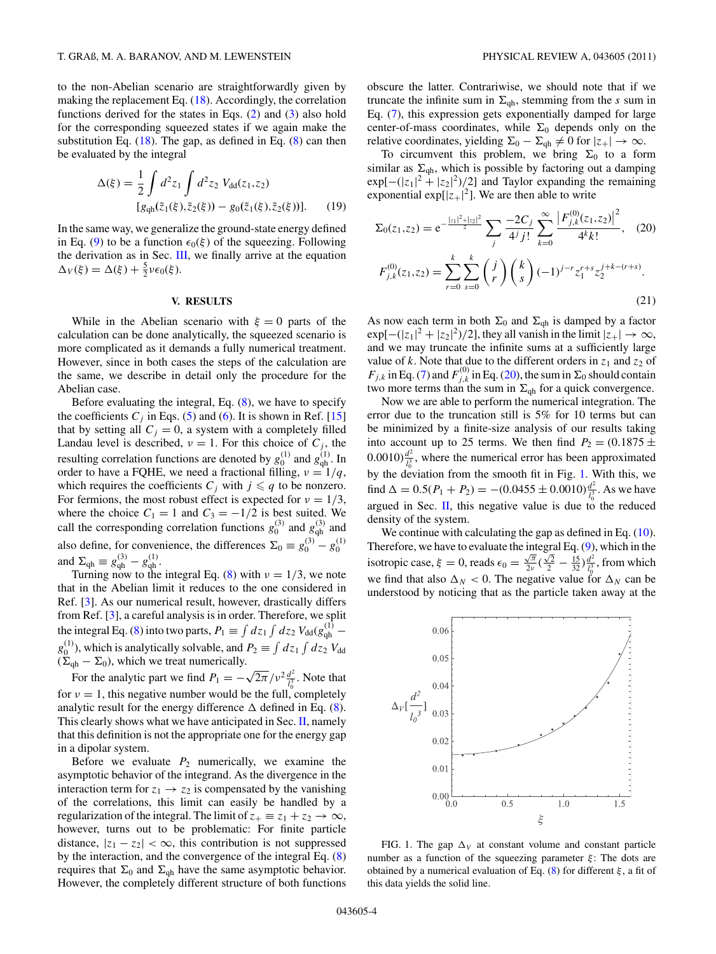<span id="page-3-0"></span>to the non-Abelian scenario are straightforwardly given by making the replacement Eq. [\(18\)](#page-2-0). Accordingly, the correlation functions derived for the states in Eqs. [\(2\)](#page-1-0) and [\(3\)](#page-1-0) also hold for the corresponding squeezed states if we again make the substitution Eq.  $(18)$ . The gap, as defined in Eq.  $(8)$  can then be evaluated by the integral

$$
\Delta(\xi) = \frac{1}{2} \int d^2 z_1 \int d^2 z_2 \ V_{dd}(z_1, z_2)
$$
  
\n
$$
[g_{qh}(\tilde{z}_1(\xi), \tilde{z}_2(\xi)) - g_0(\tilde{z}_1(\xi), \tilde{z}_2(\xi))].
$$
 (19)

In the same way, we generalize the ground-state energy defined in Eq. [\(9\)](#page-2-0) to be a function  $\epsilon_0(\xi)$  of the squeezing. Following the derivation as in Sec. [III,](#page-1-0) we finally arrive at the equation  $\Delta_V(\xi) = \Delta(\xi) + \frac{5}{2} \nu \epsilon_0(\xi).$ 

## **V. RESULTS**

While in the Abelian scenario with  $\xi = 0$  parts of the calculation can be done analytically, the squeezed scenario is more complicated as it demands a fully numerical treatment. However, since in both cases the steps of the calculation are the same, we describe in detail only the procedure for the Abelian case.

Before evaluating the integral, Eq. [\(8\)](#page-2-0), we have to specify the coefficients  $C_i$  in Eqs. [\(5\)](#page-1-0) and [\(6\)](#page-1-0). It is shown in Ref. [\[15\]](#page-4-0) that by setting all  $C_j = 0$ , a system with a completely filled Landau level is described,  $\nu = 1$ . For this choice of  $C_j$ , the resulting correlation functions are denoted by  $g_0^{(1)}$  and  $g_{qh}^{(1)}$ . In order to have a FQHE, we need a fractional filling,  $v = 1/q$ , which requires the coefficients  $C_j$  with  $j \leq q$  to be nonzero. For fermions, the most robust effect is expected for  $\nu = 1/3$ , where the choice  $C_1 = 1$  and  $C_3 = -1/2$  is best suited. We call the corresponding correlation functions  $g_0^{(3)}$  and  $g_{qh}^{(3)}$  and also define, for convenience, the differences  $\Sigma_0 \equiv g_0^{(3)} - g_0^{(1)}$ <br>and  $\Sigma_{qh} \equiv g_{qh}^{(3)} - g_{qh}^{(1)}$ .

Turning now to the integral Eq. [\(8\)](#page-2-0) with  $\nu = 1/3$ , we note that in the Abelian limit it reduces to the one considered in Ref. [\[3\]](#page-4-0). As our numerical result, however, drastically differs from Ref. [\[3\]](#page-4-0), a careful analysis is in order. Therefore, we split the integral Eq. [\(8\)](#page-2-0) into two parts,  $P_1 \equiv \int dz_1 \int dz_2 V_{dd}(g_{qh}^{(1)}$  $g_0^{(1)}$ ), which is analytically solvable, and  $P_2 \equiv \int dz_1 \int dz_2 V_{dd}$  $(\Sigma_{\text{qh}} - \Sigma_0)$ , which we treat numerically.

For the analytic part we find  $P_1 = -\sqrt{2\pi}/v^2 \frac{d^2}{l_0^3}$ . Note that for  $v = 1$ , this negative number would be the full, completely analytic result for the energy difference  $\Delta$  defined in Eq. [\(8\)](#page-2-0). This clearly shows what we have anticipated in Sec.  $II$ , namely that this definition is not the appropriate one for the energy gap in a dipolar system.

Before we evaluate  $P_2$  numerically, we examine the asymptotic behavior of the integrand. As the divergence in the interaction term for  $z_1 \rightarrow z_2$  is compensated by the vanishing of the correlations, this limit can easily be handled by a regularization of the integral. The limit of  $z_+ \equiv z_1 + z_2 \rightarrow \infty$ , however, turns out to be problematic: For finite particle distance,  $|z_1 - z_2| < \infty$ , this contribution is not suppressed by the interaction, and the convergence of the integral Eq. [\(8\)](#page-2-0) requires that  $\Sigma_0$  and  $\Sigma_{\text{qh}}$  have the same asymptotic behavior. However, the completely different structure of both functions

obscure the latter. Contrariwise, we should note that if we truncate the infinite sum in  $\Sigma_{\text{gh}}$ , stemming from the *s* sum in Eq. [\(7\)](#page-1-0), this expression gets exponentially damped for large center-of-mass coordinates, while  $\Sigma_0$  depends only on the relative coordinates, yielding  $\Sigma_0 - \Sigma_{\text{qh}} \neq 0$  for  $|z_+| \to \infty$ .

To circumvent this problem, we bring  $\Sigma_0$  to a form similar as  $\Sigma_{\text{qh}}$ , which is possible by factoring out a damping  $\exp[-(|z_1|^2 + |z_2|^2)/2]$  and Taylor expanding the remaining exponential  $\exp[|z_+|^2]$ . We are then able to write

$$
\Sigma_0(z_1, z_2) = e^{-\frac{|z_1|^2 + |z_2|^2}{2}} \sum_j \frac{-2C_j}{4^j j!} \sum_{k=0}^{\infty} \frac{\left|F_{j,k}^{(0)}(z_1, z_2)\right|^2}{4^k k!}, \quad (20)
$$

$$
F_{j,k}^{(0)}(z_1, z_2) = \sum_{r=0}^k \sum_{s=0}^k {j \choose r} {k \choose s} (-1)^{j-r} z_1^{r+s} z_2^{j+k-(r+s)}.
$$
(21)

As now each term in both  $\Sigma_0$  and  $\Sigma_{\text{qh}}$  is damped by a factor  $\exp[-(|z_1|^2 + |z_2|^2)/2]$ , they all vanish in the limit  $|z_+|\to\infty$ , and we may truncate the infinite sums at a sufficiently large value of *k*. Note that due to the different orders in  $z_1$  and  $z_2$  of  $F_{j,k}$  in Eq. [\(7\)](#page-1-0) and  $F_{j,k}^{(0)}$  in Eq. (20), the sum in  $\Sigma_0$  should contain two more terms than the sum in  $\Sigma_{qh}$  for a quick convergence.

Now we are able to perform the numerical integration. The error due to the truncation still is 5% for 10 terms but can be minimized by a finite-size analysis of our results taking into account up to 25 terms. We then find  $P_2 = (0.1875 \pm 1.000)$  $(0.0010) \frac{d^2}{l_0^3}$ , where the numerical error has been approximated by the deviation from the smooth fit in Fig. 1. With this, we find  $\Delta = 0.5(P_1 + P_2) = -(0.0455 \pm 0.0010) \frac{d^2}{l_0^3}$ . As we have argued in Sec. [II,](#page-0-0) this negative value is due to the reduced density of the system.

We continue with calculating the gap as defined in Eq. [\(10\)](#page-2-0). Therefore, we have to evaluate the integral Eq. [\(9\)](#page-2-0), which in the isotropic case,  $\xi = 0$ , reads  $\epsilon_0 = \frac{\sqrt{\pi}}{2\nu} (\frac{\sqrt{2}}{2} - \frac{15}{32}) \frac{d^2}{l_0^3}$ , from which we find that also  $\Delta_N < 0$ . The negative value for  $\Delta_N$  can be understood by noticing that as the particle taken away at the



FIG. 1. The gap  $\Delta_V$  at constant volume and constant particle number as a function of the squeezing parameter *ξ* : The dots are obtained by a numerical evaluation of Eq. [\(8\)](#page-2-0) for different *ξ* , a fit of this data yields the solid line.